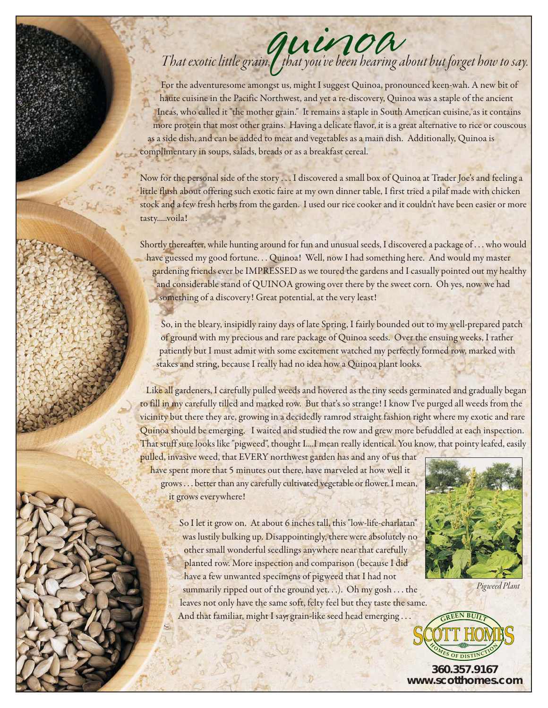## That exotic little grain, that you've been hearing about but forget how to say.

For the adventuresome amongst us, might I suggest Quinoa, pronounced keen-wah. A new bit of haute cuisine in the Pacific Northwest, and yet a re-discovery, Quinoa was a staple of the ancient Incas, who called it "the mother grain." It remains a staple in South American cuisine, as it contains more protein that most other grains. Having a delicate flavor, it is a great alternative to rice or couscous as a side dish, and can be added to meat and vegetables as a main dish. Additionally, Quinoa is complimentary in soups, salads, breads or as a breakfast cereal.

Now for the personal side of the story . . . I discovered a small box of Quinoa at Trader Joe's and feeling a little flush about offering such exotic faire at my own dinner table, I first tried a pilaf made with chicken stock and a few fresh herbs from the garden. I used our rice cooker and it couldn't have been easier or more tasty.....voila!

Shortly thereafter, while hunting around for fun and unusual seeds, I discovered a package of . . . who would have guessed my good fortune. . . Quinoa! Well, now I had something here. And would my master gardening friends ever be IMPRESSED as we toured the gardens and I casually pointed out my healthy and considerable stand of QUINOA growing over there by the sweet corn. Oh yes, now we had something of a discovery! Great potential, at the very least!

So, in the bleary, insipidly rainy days of late Spring, I fairly bounded out to my well-prepared patch of ground with my precious and rare package of Quinoa seeds. Over the ensuing weeks, I rather patiently but I must admit with some excitement watched my perfectly formed row, marked with stakes and string, because I really had no idea how a Quinoa plant looks.

Like all gardeners, I carefully pulled weeds and hovered as the tiny seeds germinated and gradually began to fill in my carefully tilled and marked row. But that's so strange! I know I've purged all weeds from the vicinity but there they are, growing in a decidedly ramrod straight fashion right where my exotic and rare Quinoa should be emerging. I waited and studied the row and grew more befuddled at each inspection. That stuff sure looks like "pigweed", thought I....I mean really identical. You know, that pointy leafed, easily

pulled, invasive weed, that EVERY northwest garden has and any of us that have spent more that 5 minutes out there, have marveled at how well it grows . . . better than any carefully cultivated vegetable or flower. I mean, it grows everywhere!



Pigweed Plant

So I let it grow on. At about 6 inches tall, this "low-life-charlatan" was lustily bulking up. Disappointingly, there were absolutely no other small wonderful seedlings anywhere near that carefully planted row. More inspection and comparison (because I did have a few unwanted specimens of pigweed that I had not summarily ripped out of the ground yet. . .). Oh my gosh . . . the leaves not only have the same soft, felty feel but they taste the same. And that familiar, might I say, grain-like seed head emerging . . .



**360.357.9167 www.scotthomes.com**